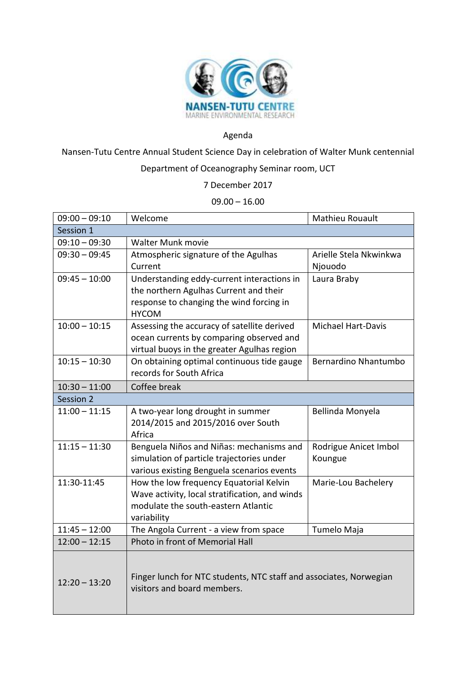

## Agenda

Nansen-Tutu Centre Annual Student Science Day in celebration of Walter Munk centennial

## Department of Oceanography Seminar room, UCT

7 December 2017

## $09.00 - 16.00$

| $09:00 - 09:10$ | Welcome                                                                   | Mathieu Rouault           |  |
|-----------------|---------------------------------------------------------------------------|---------------------------|--|
| Session 1       |                                                                           |                           |  |
| $09:10 - 09:30$ | Walter Munk movie                                                         |                           |  |
| $09:30 - 09:45$ | Atmospheric signature of the Agulhas                                      | Arielle Stela Nkwinkwa    |  |
|                 | Current                                                                   | Njouodo                   |  |
| $09:45 - 10:00$ | Understanding eddy-current interactions in                                | Laura Braby               |  |
|                 | the northern Agulhas Current and their                                    |                           |  |
|                 | response to changing the wind forcing in                                  |                           |  |
|                 | <b>HYCOM</b>                                                              |                           |  |
| $10:00 - 10:15$ | Assessing the accuracy of satellite derived                               | <b>Michael Hart-Davis</b> |  |
|                 | ocean currents by comparing observed and                                  |                           |  |
|                 | virtual buoys in the greater Agulhas region                               |                           |  |
| $10:15 - 10:30$ | On obtaining optimal continuous tide gauge<br>records for South Africa    | Bernardino Nhantumbo      |  |
|                 |                                                                           |                           |  |
| $10:30 - 11:00$ | Coffee break                                                              |                           |  |
| Session 2       |                                                                           |                           |  |
| $11:00 - 11:15$ | A two-year long drought in summer                                         | Bellinda Monyela          |  |
|                 | 2014/2015 and 2015/2016 over South                                        |                           |  |
|                 | Africa                                                                    |                           |  |
| $11:15 - 11:30$ | Benguela Niños and Niñas: mechanisms and                                  | Rodrigue Anicet Imbol     |  |
|                 | simulation of particle trajectories under                                 | Koungue                   |  |
|                 | various existing Benguela scenarios events                                |                           |  |
| 11:30-11:45     | How the low frequency Equatorial Kelvin                                   | Marie-Lou Bachelery       |  |
|                 | Wave activity, local stratification, and winds                            |                           |  |
|                 | modulate the south-eastern Atlantic                                       |                           |  |
| $11:45 - 12:00$ | variability                                                               |                           |  |
| $12:00 - 12:15$ | The Angola Current - a view from space<br>Photo in front of Memorial Hall | Tumelo Maja               |  |
|                 |                                                                           |                           |  |
|                 |                                                                           |                           |  |
|                 | Finger lunch for NTC students, NTC staff and associates, Norwegian        |                           |  |
| $12:20 - 13:20$ | visitors and board members.                                               |                           |  |
|                 |                                                                           |                           |  |
|                 |                                                                           |                           |  |